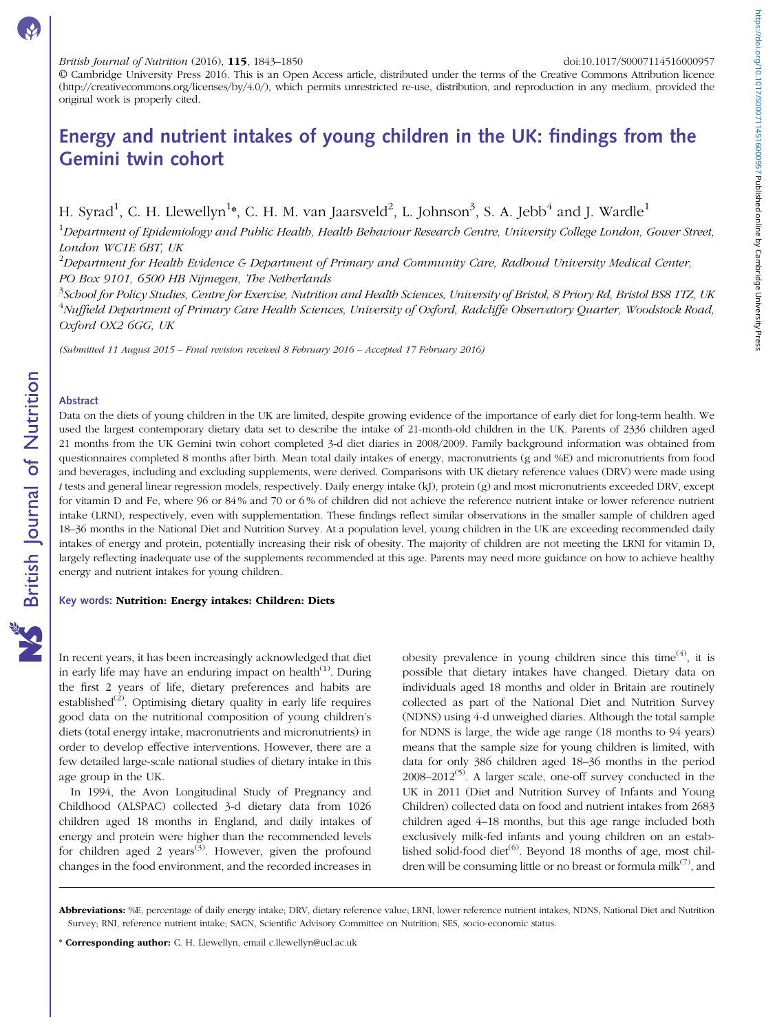#### British Journal of Nutrition (2016), 115, 1843-1850 doi:10.1017/S0007114516000957

© Cambridge University Press 2016. This is an Open Access article, distributed under the terms of the Creative Commons Attribution licence (http://creativecommons.org/licenses/by/4.0/), which permits unrestricted re-use, distribution, and reproduction in any medium, provided the original work is properly cited.

## Energy and nutrient intakes of young children in the UK: findings from the Gemini twin cohort

H. Syrad $^1$ , C. H. Llewellyn $^{1*}$ , C. H. M. van Jaarsveld $^2$ , L. Johnson $^3$ , S. A. Jebb $^4$  and J. Wardle $^1$ 

 $^1$ Department of Epidemiology and Public Health, Health Behaviour Research Centre, University College London, Gower Street, London WC1E 6BT, UK

 $^2$ Department for Health Evidence & Department of Primary and Community Care, Radboud University Medical Center, PO Box 9101, 6500 HB Nijmegen, The Netherlands

 $^3$ School for Policy Studies, Centre for Exercise, Nutrition and Health Sciences, University of Bristol, 8 Priory Rd, Bristol BS8 1TZ, UK <sup>4</sup>Nuffield Department of Primary Care Health Sciences, University of Oxford, Radcliffe Observatory Quarter, Woodstock Road, Oxford OX2 6GG, UK

(Submitted 11 August 2015 – Final revision received 8 February 2016 – Accepted 17 February 2016)

### Abstract

Data on the diets of young children in the UK are limited, despite growing evidence of the importance of early diet for long-term health. We used the largest contemporary dietary data set to describe the intake of 21-month-old children in the UK. Parents of 2336 children aged 21 months from the UK Gemini twin cohort completed 3-d diet diaries in 2008/2009. Family background information was obtained from questionnaires completed 8 months after birth. Mean total daily intakes of energy, macronutrients (g and %E) and micronutrients from food and beverages, including and excluding supplements, were derived. Comparisons with UK dietary reference values (DRV) were made using t tests and general linear regression models, respectively. Daily energy intake (kJ), protein (g) and most micronutrients exceeded DRV, except for vitamin D and Fe, where 96 or 84% and 70 or 6% of children did not achieve the reference nutrient intake or lower reference nutrient intake (LRNI), respectively, even with supplementation. These findings reflect similar observations in the smaller sample of children aged 18–36 months in the National Diet and Nutrition Survey. At a population level, young children in the UK are exceeding recommended daily intakes of energy and protein, potentially increasing their risk of obesity. The majority of children are not meeting the LRNI for vitamin D, largely reflecting inadequate use of the supplements recommended at this age. Parents may need more guidance on how to achieve healthy energy and nutrient intakes for young children.

Key words: Nutrition: Energy intakes: Children: Diets

In recent years, it has been increasingly acknowledged that diet in early life may have an enduring impact on health<sup> $(1)$  $(1)$ </sup>. During the first 2 years of life, dietary preferences and habits are established<sup> $(2)$  $(2)$  $(2)$ </sup>. Optimising dietary quality in early life requires good data on the nutritional composition of young children's diets (total energy intake, macronutrients and micronutrients) in order to develop effective interventions. However, there are a few detailed large-scale national studies of dietary intake in this age group in the UK.

In 1994, the Avon Longitudinal Study of Pregnancy and Childhood (ALSPAC) collected 3-d dietary data from 1026 children aged 18 months in England, and daily intakes of energy and protein were higher than the recommended levels for children aged 2 years<sup>([3](#page-6-0))</sup>. However, given the profound changes in the food environment, and the recorded increases in

obesity prevalence in young children since this time<sup> $(4)$ </sup>, it is possible that dietary intakes have changed. Dietary data on individuals aged 18 months and older in Britain are routinely collected as part of the National Diet and Nutrition Survey (NDNS) using 4-d unweighed diaries. Although the total sample for NDNS is large, the wide age range (18 months to 94 years) means that the sample size for young children is limited, with data for only 386 children aged 18–36 months in the period  $2008-2012^{(5)}$  $2008-2012^{(5)}$  $2008-2012^{(5)}$ . A larger scale, one-off survey conducted in the UK in 2011 (Diet and Nutrition Survey of Infants and Young Children) collected data on food and nutrient intakes from 2683 children aged 4–18 months, but this age range included both exclusively milk-fed infants and young children on an established solid-food diet<sup> $(6)$ </sup>. Beyond 18 months of age, most children will be consuming little or no breast or formula milk<sup> $(7)$  $(7)$ </sup>, and

\* Corresponding author: C. H. Llewellyn, email c.llewellyn@ucl.ac.uk

Abbreviations: %E, percentage of daily energy intake; DRV, dietary reference value; LRNI, lower reference nutrient intakes; NDNS, National Diet and Nutrition Survey; RNI, reference nutrient intake; SACN, Scientific Advisory Committee on Nutrition; SES, socio-economic status.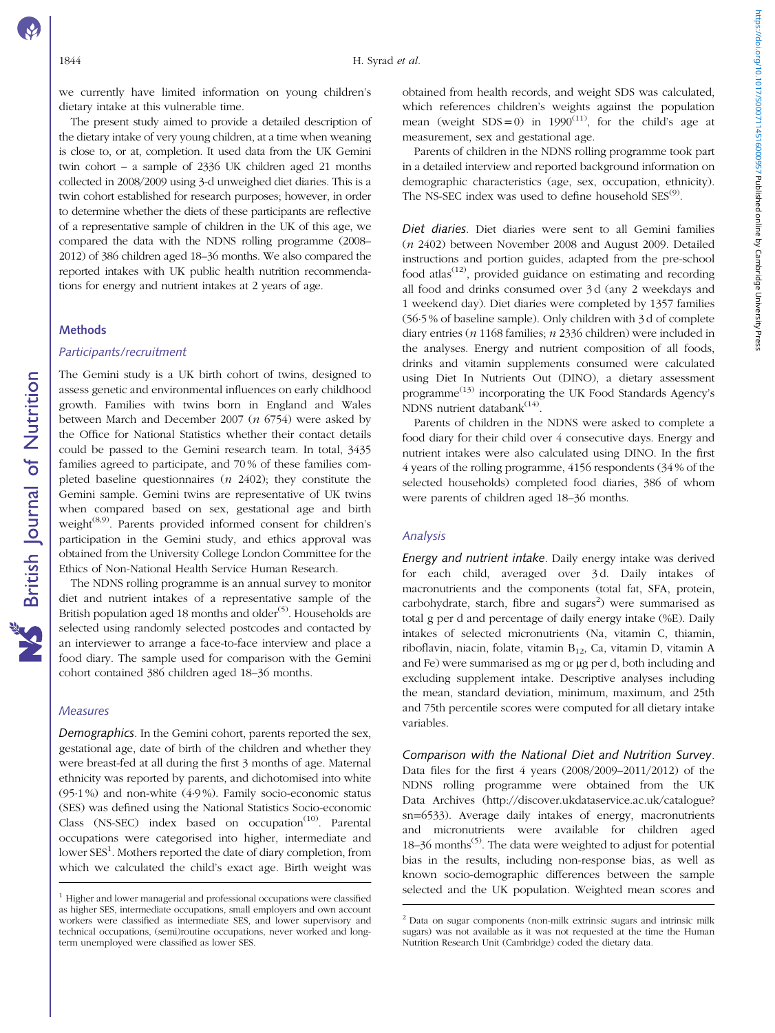we currently have limited information on young children's dietary intake at this vulnerable time.

The present study aimed to provide a detailed description of the dietary intake of very young children, at a time when weaning is close to, or at, completion. It used data from the UK Gemini twin cohort – a sample of 2336 UK children aged 21 months collected in 2008/2009 using 3-d unweighed diet diaries. This is a twin cohort established for research purposes; however, in order to determine whether the diets of these participants are reflective of a representative sample of children in the UK of this age, we compared the data with the NDNS rolling programme (2008– 2012) of 386 children aged 18–36 months. We also compared the reported intakes with UK public health nutrition recommendations for energy and nutrient intakes at 2 years of age.

#### **Methods**

**NS** British Journal of Nutrition

#### Participants/recruitment

The Gemini study is a UK birth cohort of twins, designed to assess genetic and environmental influences on early childhood growth. Families with twins born in England and Wales between March and December 2007  $(n 6754)$  were asked by the Office for National Statistics whether their contact details could be passed to the Gemini research team. In total, 3435 families agreed to participate, and 70 % of these families completed baseline questionnaires  $(n \ 2402)$ ; they constitute the Gemini sample. Gemini twins are representative of UK twins when compared based on sex, gestational age and birth weight<sup>[\(8,9\)](#page-6-0)</sup>. Parents provided informed consent for children's participation in the Gemini study, and ethics approval was obtained from the University College London Committee for the Ethics of Non-National Health Service Human Research.

The NDNS rolling programme is an annual survey to monitor diet and nutrient intakes of a representative sample of the British population aged 18 months and older<sup>([5](#page-6-0))</sup>. Households are selected using randomly selected postcodes and contacted by an interviewer to arrange a face-to-face interview and place a food diary. The sample used for comparison with the Gemini cohort contained 386 children aged 18–36 months.

#### **Measures**

Demographics. In the Gemini cohort, parents reported the sex, gestational age, date of birth of the children and whether they were breast-fed at all during the first 3 months of age. Maternal ethnicity was reported by parents, and dichotomised into white (95·1 %) and non-white (4·9 %). Family socio-economic status (SES) was defined using the National Statistics Socio-economic Class (NS-SEC) index based on occupation<sup> $(10)$  $(10)$  $(10)$ </sup>. Parental occupations were categorised into higher, intermediate and lower SES<sup>1</sup>. Mothers reported the date of diary completion, from which we calculated the child's exact age. Birth weight was obtained from health records, and weight SDS was calculated, which references children's weights against the population mean (weight  $SDS=0$ ) in 1990<sup>[\(11\)](#page-6-0)</sup>, for the child's age at measurement, sex and gestational age.

Parents of children in the NDNS rolling programme took part in a detailed interview and reported background information on demographic characteristics (age, sex, occupation, ethnicity). The NS-SEC index was used to define household  $SES^{(9)}$  $SES^{(9)}$  $SES^{(9)}$ .

Diet diaries. Diet diaries were sent to all Gemini families (n 2402) between November 2008 and August 2009. Detailed instructions and portion guides, adapted from the pre-school food atlas $^{(12)}$  $^{(12)}$  $^{(12)}$ , provided guidance on estimating and recording all food and drinks consumed over 3 d (any 2 weekdays and 1 weekend day). Diet diaries were completed by 1357 families (56·5 % of baseline sample). Only children with 3 d of complete diary entries ( $n$  1168 families;  $n$  2336 children) were included in the analyses. Energy and nutrient composition of all foods, drinks and vitamin supplements consumed were calculated using Diet In Nutrients Out (DINO), a dietary assessment programme<sup>([13](#page-7-0))</sup> incorporating the UK Food Standards Agency's NDNS nutrient databank<sup>[\(14](#page-7-0))</sup>.

Parents of children in the NDNS were asked to complete a food diary for their child over 4 consecutive days. Energy and nutrient intakes were also calculated using DINO. In the first 4 years of the rolling programme, 4156 respondents (34 % of the selected households) completed food diaries, 386 of whom were parents of children aged 18–36 months.

#### Analysis

Energy and nutrient intake. Daily energy intake was derived for each child, averaged over 3 d. Daily intakes of macronutrients and the components (total fat, SFA, protein, carbohydrate, starch, fibre and sugars<sup>2</sup>) were summarised as total g per d and percentage of daily energy intake (%E). Daily intakes of selected micronutrients (Na, vitamin C, thiamin, riboflavin, niacin, folate, vitamin  $B_{12}$ , Ca, vitamin D, vitamin A and Fe) were summarised as mg or μg per d, both including and excluding supplement intake. Descriptive analyses including the mean, standard deviation, minimum, maximum, and 25th and 75th percentile scores were computed for all dietary intake variables.

Comparison with the National Diet and Nutrition Survey. Data files for the first 4 years (2008/2009–2011/2012) of the NDNS rolling programme were obtained from the UK Data Archives [\(http://discover.ukdataservice.ac.uk/catalogue?](http://discover.ukdataservice.ac.uk/catalogue?sn=6533) sn=[6533\)](http://discover.ukdataservice.ac.uk/catalogue?sn=6533). Average daily intakes of energy, macronutrients and micronutrients were available for children aged  $18-36$  months<sup> $(5)$  $(5)$  $(5)$ </sup>. The data were weighted to adjust for potential bias in the results, including non-response bias, as well as known socio-demographic differences between the sample <sup>1</sup> Higher and lower managerial and professional occupations were classified selected and the UK population. Weighted mean scores and

as higher SES, intermediate occupations, small employers and own account workers were classified as intermediate SES, and lower supervisory and technical occupations, (semi)routine occupations, never worked and longterm unemployed were classified as lower SES.

<sup>&</sup>lt;sup>2</sup> Data on sugar components (non-milk extrinsic sugars and intrinsic milk sugars) was not available as it was not requested at the time the Human Nutrition Research Unit (Cambridge) coded the dietary data.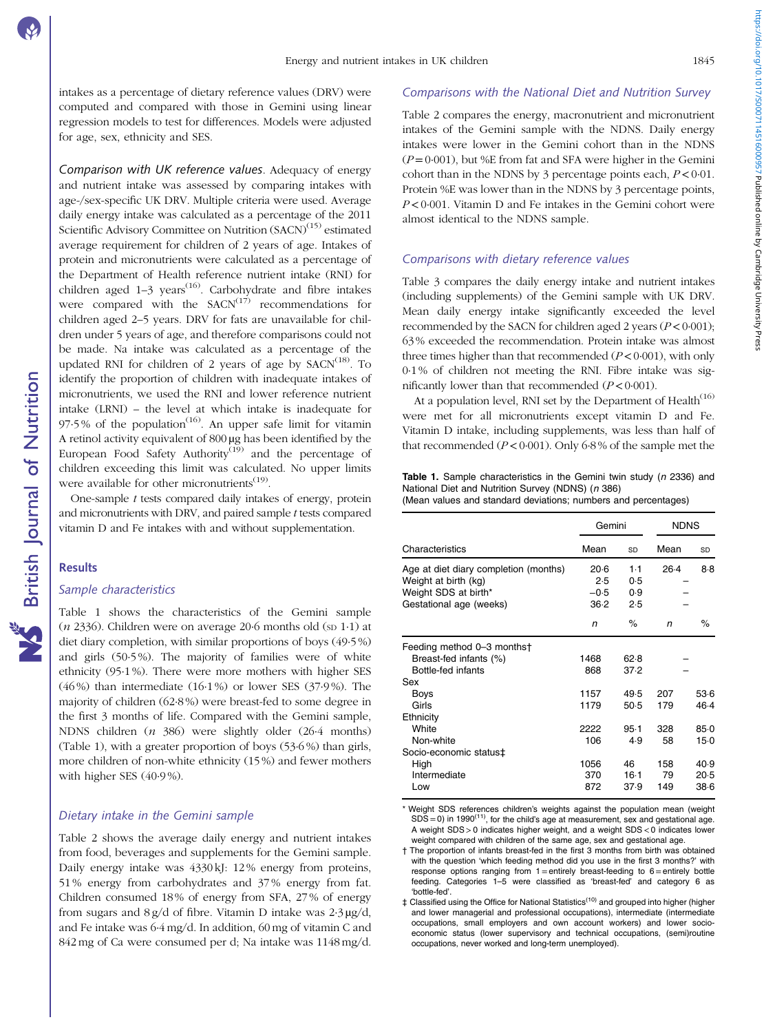intakes as a percentage of dietary reference values (DRV) were computed and compared with those in Gemini using linear regression models to test for differences. Models were adjusted for age, sex, ethnicity and SES.

Comparison with UK reference values. Adequacy of energy and nutrient intake was assessed by comparing intakes with age-/sex-specific UK DRV. Multiple criteria were used. Average daily energy intake was calculated as a percentage of the 2011 Scientific Advisory Committee on Nutrition (SACN)<sup>[\(15\)](#page-7-0)</sup> estimated average requirement for children of 2 years of age. Intakes of protein and micronutrients were calculated as a percentage of the Department of Health reference nutrient intake (RNI) for children aged 1–3 years<sup>([16\)](#page-7-0)</sup>. Carbohydrate and fibre intakes were compared with the  $SACN^{(17)}$  $SACN^{(17)}$  $SACN^{(17)}$  recommendations for children aged 2–5 years. DRV for fats are unavailable for children under 5 years of age, and therefore comparisons could not be made. Na intake was calculated as a percentage of the updated RNI for children of 2 years of age by SACN<sup>([18\)](#page-7-0)</sup>. To identify the proportion of children with inadequate intakes of micronutrients, we used the RNI and lower reference nutrient intake (LRNI) – the level at which intake is inadequate for 97.5% of the population<sup>[\(16\)](#page-7-0)</sup>. An upper safe limit for vitamin A retinol activity equivalent of 800 µg has been identified by the European Food Safety Authority<sup>[\(19](#page-7-0))</sup> and the percentage of children exceeding this limit was calculated. No upper limits were available for other micronutrients<sup>([19\)](#page-7-0)</sup>.

One-sample t tests compared daily intakes of energy, protein and micronutrients with DRV, and paired sample t tests compared vitamin D and Fe intakes with and without supplementation.

#### **Results**

#### Sample characteristics

Table 1 shows the characteristics of the Gemini sample  $(n 2336)$ . Children were on average 20 $\cdot$ 6 months old (sp 1 $\cdot$ 1) at diet diary completion, with similar proportions of boys (49·5 %) and girls (50·5 %). The majority of families were of white ethnicity (95·1 %). There were more mothers with higher SES (46%) than intermediate (16.1%) or lower SES (37.9%). The majority of children (62·8 %) were breast-fed to some degree in the first 3 months of life. Compared with the Gemini sample, NDNS children (n 386) were slightly older (26·4 months) (Table 1), with a greater proportion of boys (53·6 %) than girls, more children of non-white ethnicity (15 %) and fewer mothers with higher SES (40·9 %).

#### Dietary intake in the Gemini sample

[Table 2](#page-3-0) shows the average daily energy and nutrient intakes from food, beverages and supplements for the Gemini sample. Daily energy intake was 4330 kJ: 12% energy from proteins, 51 % energy from carbohydrates and 37 % energy from fat. Children consumed 18 % of energy from SFA, 27 % of energy from sugars and 8 g/d of fibre. Vitamin D intake was 2·3 µg/d, and Fe intake was 6·4 mg/d. In addition, 60 mg of vitamin C and 842 mg of Ca were consumed per d; Na intake was 1148 mg/d.

#### Comparisons with the National Diet and Nutrition Survey

[Table 2](#page-3-0) compares the energy, macronutrient and micronutrient intakes of the Gemini sample with the NDNS. Daily energy intakes were lower in the Gemini cohort than in the NDNS  $(P= 0.001)$ , but %E from fat and SFA were higher in the Gemini cohort than in the NDNS by 3 percentage points each,  $P < 0.01$ . Protein %E was lower than in the NDNS by 3 percentage points,  $P < 0.001$ . Vitamin D and Fe intakes in the Gemini cohort were almost identical to the NDNS sample.

#### Comparisons with dietary reference values

[Table 3](#page-4-0) compares the daily energy intake and nutrient intakes (including supplements) of the Gemini sample with UK DRV. Mean daily energy intake significantly exceeded the level recommended by the SACN for children aged 2 years ( $P < 0.001$ ); 63 % exceeded the recommendation. Protein intake was almost three times higher than that recommended  $(P < 0.001)$ , with only 0·1 % of children not meeting the RNI. Fibre intake was significantly lower than that recommended  $(P<0.001)$ .

At a population level, RNI set by the Department of Health<sup>[\(16](#page-7-0))</sup> were met for all micronutrients except vitamin D and Fe. Vitamin D intake, including supplements, was less than half of that recommended  $(P<0.001)$ . Only 6.8% of the sample met the

Table 1. Sample characteristics in the Gemini twin study (n 2336) and National Diet and Nutrition Survey (NDNS) (n 386) (Mean values and standard deviations; numbers and percentages)

|                                       | Gemini |        |      | <b>NDNS</b> |
|---------------------------------------|--------|--------|------|-------------|
| Characteristics                       | Mean   | SD     | Mean | SD          |
| Age at diet diary completion (months) | 20.6   | 1.1    | 26.4 | 8.8         |
| Weight at birth (kg)                  | 2.5    | 0.5    |      |             |
| Weight SDS at birth*                  | $-0.5$ | 0.9    |      |             |
| Gestational age (weeks)               | 36.2   | 2.5    |      |             |
|                                       | n      | %      | n    | %           |
| Feeding method 0-3 monthst            |        |        |      |             |
| Breast-fed infants (%)                | 1468   | 62.8   |      |             |
| Bottle-fed infants                    | 868    | 37.2   |      |             |
| Sex                                   |        |        |      |             |
| Boys                                  | 1157   | 49.5   | 207  | 53.6        |
| Girls                                 | 1179   | 50.5   | 179  | 46.4        |
| Ethnicity                             |        |        |      |             |
| White                                 | 2222   | 95.1   | 328  | 85.0        |
| Non-white                             | 106    | 4.9    | 58   | 15.0        |
| Socio-economic status‡                |        |        |      |             |
| High                                  | 1056   | 46     | 158  | 40.9        |
| Intermediate                          | 370    | $16-1$ | 79   | 20.5        |
| Low                                   | 872    | 37.9   | 149  | $38-6$      |

\* Weight SDS references children's weights against the population mean (weight  $SDS = 0$ ) in 1990<sup>[\(11\)](#page-6-0)</sup>, for the child's age at measurement, sex and gestational age. A weight SDS> 0 indicates higher weight, and a weight SDS<0 indicates lower weight compared with children of the same age, sex and gestational age.

† The proportion of infants breast-fed in the first 3 months from birth was obtained with the question 'which feeding method did you use in the first 3 months?' with response options ranging from  $1$  = entirely breast-feeding to  $6$  = entirely bottle feeding. Categories 1–5 were classified as 'breast-fed' and category 6 as 'bottle-fed'.

 $\ddagger$  Classified using the Office for National Statistics<sup>([10](#page-6-0))</sup> and grouped into higher (higher and lower managerial and professional occupations), intermediate (intermediate occupations, small employers and own account workers) and lower socioeconomic status (lower supervisory and technical occupations, (semi)routine occupations, never worked and long-term unemployed).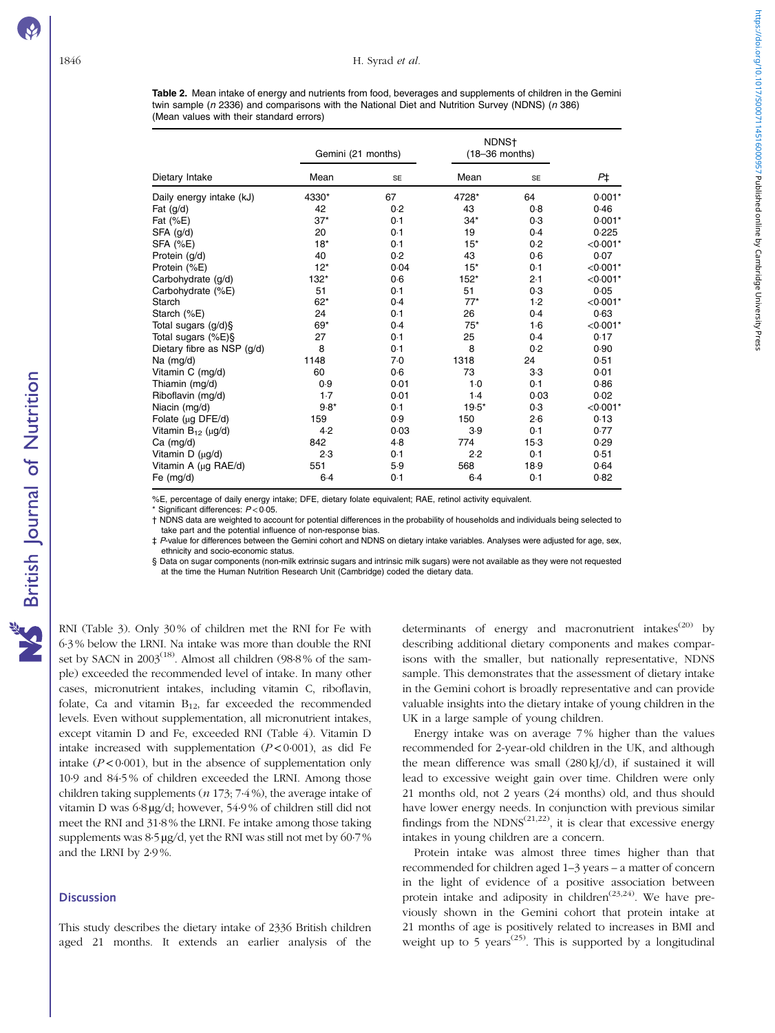<span id="page-3-0"></span>Table 2. Mean intake of energy and nutrients from food, beverages and supplements of children in the Gemini twin sample (n 2336) and comparisons with the National Diet and Nutrition Survey (NDNS) (n 386) (Mean values with their standard errors)

|                                | Gemini (21 months) |           | NDNS <sup>+</sup><br>$(18-36$ months) |           |               |
|--------------------------------|--------------------|-----------|---------------------------------------|-----------|---------------|
| Dietary Intake                 | Mean               | <b>SE</b> | Mean                                  | <b>SE</b> | P‡            |
| Daily energy intake (kJ)       | 4330*              | 67        | 4728*                                 | 64        | $0.001*$      |
| Fat $(g/d)$                    | 42                 | 0.2       | 43                                    | 0.8       | 0.46          |
| Fat $(\%E)$                    | $37*$              | 0.1       | $34*$                                 | 0.3       | $0.001*$      |
| SFA (g/d)                      | 20                 | 0.1       | 19                                    | 0.4       | 0.225         |
| <b>SFA (%E)</b>                | $18*$              | 0.1       | $15*$                                 | 0.2       | $<$ 0.001 $*$ |
| Protein (g/d)                  | 40                 | 0.2       | 43                                    | 0.6       | 0.07          |
| Protein (%E)                   | $12*$              | 0.04      | $15*$                                 | 0.1       | $<$ 0.001 $*$ |
| Carbohydrate (g/d)             | $132*$             | 0.6       | 152*                                  | 2.1       | $<$ 0.001 $*$ |
| Carbohydrate (%E)              | 51                 | 0.1       | 51                                    | 0.3       | 0.05          |
| Starch                         | $62*$              | 0.4       | $77*$                                 | 1.2       | $< 0.001*$    |
| Starch (%E)                    | 24                 | 0.1       | 26                                    | 0.4       | 0.63          |
| Total sugars (g/d)§            | $69*$              | 0.4       | $75*$                                 | $1-6$     | $<$ 0.001 $*$ |
| Total sugars (%E)§             | 27                 | 0.1       | 25                                    | 0.4       | 0.17          |
| Dietary fibre as NSP (q/d)     | 8                  | 0.1       | 8                                     | 0.2       | 0.90          |
| Na (mg/d)                      | 1148               | 7.0       | 1318                                  | 24        | 0.51          |
| Vitamin C (mg/d)               | 60                 | 0.6       | 73                                    | 3.3       | 0.01          |
| Thiamin (mg/d)                 | 0.9                | 0.01      | $1-0$                                 | 0.1       | 0.86          |
| Riboflavin (mg/d)              | 1.7                | 0.01      | $1-4$                                 | 0.03      | 0.02          |
| Niacin (mg/d)                  | $9.8*$             | 0.1       | $19.5*$                               | 0.3       | $< 0.001*$    |
| Folate ( $\mu$ g DFE/d)        | 159                | 0.9       | 150                                   | 2.6       | 0.13          |
| Vitamin B <sub>12</sub> (µg/d) | 4.2                | 0.03      | 3.9                                   | 0.1       | 0.77          |
| $Ca$ (mg/d)                    | 842                | $4-8$     | 774                                   | $15-3$    | 0.29          |
| Vitamin D (µg/d)               | 2.3                | 0.1       | 2.2                                   | 0.1       | 0.51          |
| Vitamin A (µg RAE/d)           | 551                | 5.9       | 568                                   | 18.9      | 0.64          |
| Fe (mg/d)                      | $6-4$              | 0.1       | $6-4$                                 | 0.1       | 0.82          |

%E, percentage of daily energy intake; DFE, dietary folate equivalent; RAE, retinol activity equivalent.

Significant differences:  $P < 0.05$ .

† NDNS data are weighted to account for potential differences in the probability of households and individuals being selected to take part and the potential influence of non-response bias.

‡ P-value for differences between the Gemini cohort and NDNS on dietary intake variables. Analyses were adjusted for age, sex, ethnicity and socio-economic status.

§ Data on sugar components (non-milk extrinsic sugars and intrinsic milk sugars) were not available as they were not requested at the time the Human Nutrition Research Unit (Cambridge) coded the dietary data.

RNI [\(Table 3](#page-4-0)). Only 30 % of children met the RNI for Fe with 6·3 % below the LRNI. Na intake was more than double the RNI set by SACN in  $2003^{(18)}$  $2003^{(18)}$  $2003^{(18)}$ . Almost all children (98.8% of the sample) exceeded the recommended level of intake. In many other cases, micronutrient intakes, including vitamin C, riboflavin, folate, Ca and vitamin  $B_{12}$ , far exceeded the recommended levels. Even without supplementation, all micronutrient intakes, except vitamin D and Fe, exceeded RNI [\(Table 4](#page-5-0)). Vitamin D intake increased with supplementation  $(P<0.001)$ , as did Fe intake  $(P<0.001)$ , but in the absence of supplementation only 10·9 and 84·5 % of children exceeded the LRNI. Among those children taking supplements ( $n$  173; 7·4%), the average intake of vitamin D was 6·8 µg/d; however, 54·9 % of children still did not meet the RNI and 31·8 % the LRNI. Fe intake among those taking supplements was 8·5 µg/d, yet the RNI was still not met by 60·7 % and the LRNI by 2·9 %.

#### **Discussion**

This study describes the dietary intake of 2336 British children aged 21 months. It extends an earlier analysis of the

determinants of energy and macronutrient intakes<sup>([20\)](#page-7-0)</sup> by describing additional dietary components and makes comparisons with the smaller, but nationally representative, NDNS sample. This demonstrates that the assessment of dietary intake in the Gemini cohort is broadly representative and can provide valuable insights into the dietary intake of young children in the UK in a large sample of young children.

Energy intake was on average 7 % higher than the values recommended for 2-year-old children in the UK, and although the mean difference was small (280 kJ/d), if sustained it will lead to excessive weight gain over time. Children were only 21 months old, not 2 years (24 months) old, and thus should have lower energy needs. In conjunction with previous similar findings from the NDNS<sup> $(21,22)$  $(21,22)$ </sup>, it is clear that excessive energy intakes in young children are a concern.

Protein intake was almost three times higher than that recommended for children aged 1–3 years – a matter of concern in the light of evidence of a positive association between protein intake and adiposity in children<sup> $(23,24)$  $(23,24)$  $(23,24)$  $(23,24)$ </sup>. We have previously shown in the Gemini cohort that protein intake at 21 months of age is positively related to increases in BMI and weight up to 5 years<sup> $(25)$ </sup>. This is supported by a longitudinal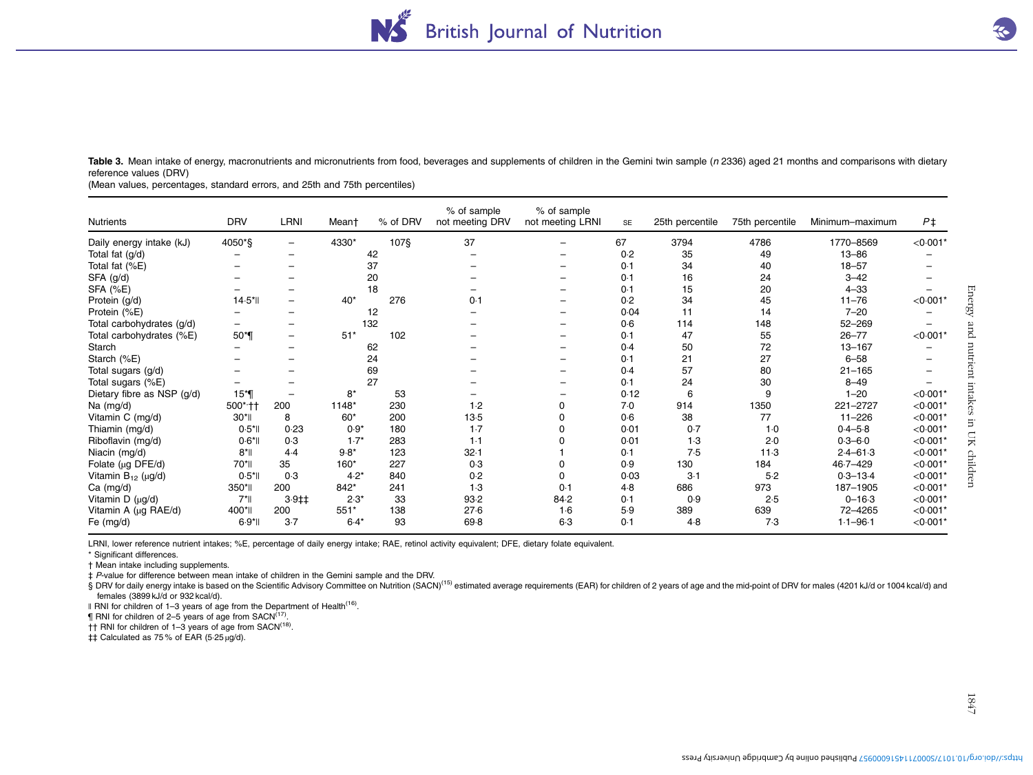# British Journal of Nutrition

<span id="page-4-0"></span>Table 3. Mean intake of energy, macronutrients and micronutrients from food, beverages and supplements of children in the Gemini twin sample (n 2336) aged 21 months and comparisons with dietary reference values (DRV)

(Mean values, percentages, standard errors, and 25th and 75th percentiles)

| <b>Nutrients</b>               | <b>DRV</b>               | LRNI                     | Mean†  | % of DRV | % of sample<br>not meeting DRV | % of sample<br>not meeting LRNI | SE    | 25th percentile | 75th percentile | Minimum-maximum | $P+$       |
|--------------------------------|--------------------------|--------------------------|--------|----------|--------------------------------|---------------------------------|-------|-----------------|-----------------|-----------------|------------|
| Daily energy intake (kJ)       | 4050*§                   | $\overline{\phantom{m}}$ | 4330*  | 107§     | 37                             |                                 | 67    | 3794            | 4786            | 1770-8569       | $< 0.001*$ |
| Total fat (g/d)                |                          | $\overline{\phantom{0}}$ | 42     |          |                                |                                 | 0.2   | 35              | 49              | $13 - 86$       |            |
| Total fat (%E)                 | $\overline{\phantom{0}}$ | $\overline{\phantom{0}}$ | 37     |          |                                |                                 | 0.1   | 34              | 40              | $18 - 57$       |            |
| SFA (g/d)                      |                          |                          | 20     |          |                                |                                 | 0.1   | 16              | 24              | $3 - 42$        |            |
| <b>SFA (%E)</b>                |                          | $\overline{\phantom{0}}$ | 18     |          |                                |                                 | 0.1   | 15              | 20              | $4 - 33$        |            |
| Protein (g/d)                  | $14.5*$                  | $\overline{\phantom{0}}$ | $40*$  | 276      | 0.1                            |                                 | 0.2   | 34              | 45              | $11 - 76$       | $< 0.001*$ |
| Protein (%E)                   |                          | $\overline{\phantom{0}}$ |        | 12       |                                |                                 | 0.04  | 11              | 14              | $7 - 20$        |            |
| Total carbohydrates (g/d)      | $\overline{\phantom{0}}$ | $\overline{\phantom{0}}$ | 132    |          |                                |                                 | 0.6   | 114             | 148             | $52 - 269$      |            |
| Total carbohydrates (%E)       | $50*$                    | $\overline{\phantom{0}}$ | $51*$  | 102      |                                |                                 | 0.1   | 47              | 55              | $26 - 77$       | $< 0.001*$ |
| Starch                         |                          |                          | 62     |          |                                |                                 | 0.4   | 50              | 72              | $13 - 167$      |            |
| Starch (%E)                    |                          |                          | 24     |          |                                |                                 | 0.1   | 21              | 27              | $6 - 58$        |            |
| Total sugars (g/d)             |                          | $\overline{\phantom{0}}$ | 69     |          |                                |                                 | 0.4   | 57              | 80              | $21 - 165$      |            |
| Total sugars (%E)              |                          |                          | 27     |          |                                |                                 | 0.1   | 24              | 30              | $8 - 49$        |            |
| Dietary fibre as NSP (g/d)     | $15*$                    | $\overline{\phantom{0}}$ | 8*     | 53       |                                |                                 | 0.12  | 6               | 9               | $1 - 20$        | $<0.001*$  |
| Na (mg/d)                      | 500*++                   | 200                      | 1148*  | 230      | 1.2                            | 0                               | 7.0   | 914             | 1350            | 221-2727        | $<0.001*$  |
| Vitamin C (mg/d)               | $30^*$ II                | 8                        | $60*$  | 200      | $13-5$                         | $\Omega$                        | 0.6   | 38              | 77              | $11 - 226$      | $<0.001*$  |
| Thiamin (mg/d)                 | $0.5*$                   | 0.23                     | $0.9*$ | 180      | 1.7                            | $\Omega$                        | 0.01  | 0.7             | $1-0$           | $0.4 - 5.8$     | $< 0.001*$ |
| Riboflavin (mg/d)              | $0.6*$                   | 0.3                      | $1.7*$ | 283      | 1.1                            |                                 | 0.01  | 1.3             | 2.0             | $0.3 - 6.0$     | $<0.001*$  |
| Niacin (mg/d)                  | $8*$                     | 4.4                      | $9.8*$ | 123      | $32 - 1$                       |                                 | 0.1   | 7.5             | 11.3            | $2.4 - 61.3$    | $<0.001*$  |
| Folate ( $\mu$ g DFE/d)        | 70*II                    | 35                       | $160*$ | 227      | 0.3                            | $\Omega$                        | 0.9   | 130             | 184             | 46.7-429        | $<0.001*$  |
| Vitamin B <sub>12</sub> (µg/d) | $0.5*$                   | 0.3                      | $4.2*$ | 840      | 0.2                            | $\Omega$                        | 0.03  | 3.1             | 5.2             | $0.3 - 13.4$    | $< 0.001*$ |
| Ca (mg/d)                      | 350*ll                   | 200                      | 842*   | 241      | 1.3                            | 0.1                             | $4-8$ | 686             | 973             | 187-1905        | $<0.001*$  |
| Vitamin D (µg/d)               | $7^*$ ll                 | 3.9 <sub>‡</sub>         | $2.3*$ | 33       | 93.2                           | 84.2                            | 0.1   | 0.9             | 2.5             | $0 - 16.3$      | $<0.001*$  |
| Vitamin A (µg RAE/d)           | 400*ll                   | 200                      | $551*$ | 138      | 27.6                           | 1.6                             | 5.9   | 389             | 639             | 72-4265         | $<0.001*$  |
| Fe (mg/d)                      | $6.9*$                   | $3-7$                    | $6.4*$ | 93       | 69.8                           | 6.3                             | 0.1   | 4.8             | 7.3             | $1.1 - 96.1$    | $<0.001*$  |

LRNI, lower reference nutrient intakes; %E, percentage of daily energy intake; RAE, retinol activity equivalent; DFE, dietary folate equivalent.

\* Significant differences.

† Mean intake including supplements.

‡ P-value for difference between mean intake of children in the Gemini sample and the DRV.

§ DRV for daily energy intake is based on the Scientific Advisory Committee on Nutrition (SACN)<sup>([15](#page-7-0))</sup> estimated average requirements (EAR) for children of 2 years of age and the mid-point of DRV for males (4201 kJ/d or 100 females (3899 kJ/d or 932 kcal/d).

 $\parallel$  RNI for children of 1–3 years of age from the Department of Health<sup>[\(16\)](#page-7-0)</sup>.

 $\P$  RNI for children of 2–5 years of age from SACN<sup>([17](#page-7-0))</sup>.

†† RNI for children of <sup>1</sup>–<sup>3</sup> years of age from SACN([18](#page-7-0)).

 $\ddagger\ddagger$  Calculated as 75% of EAR (5.25 µg/d).

Energy and nutrient intakes in UK children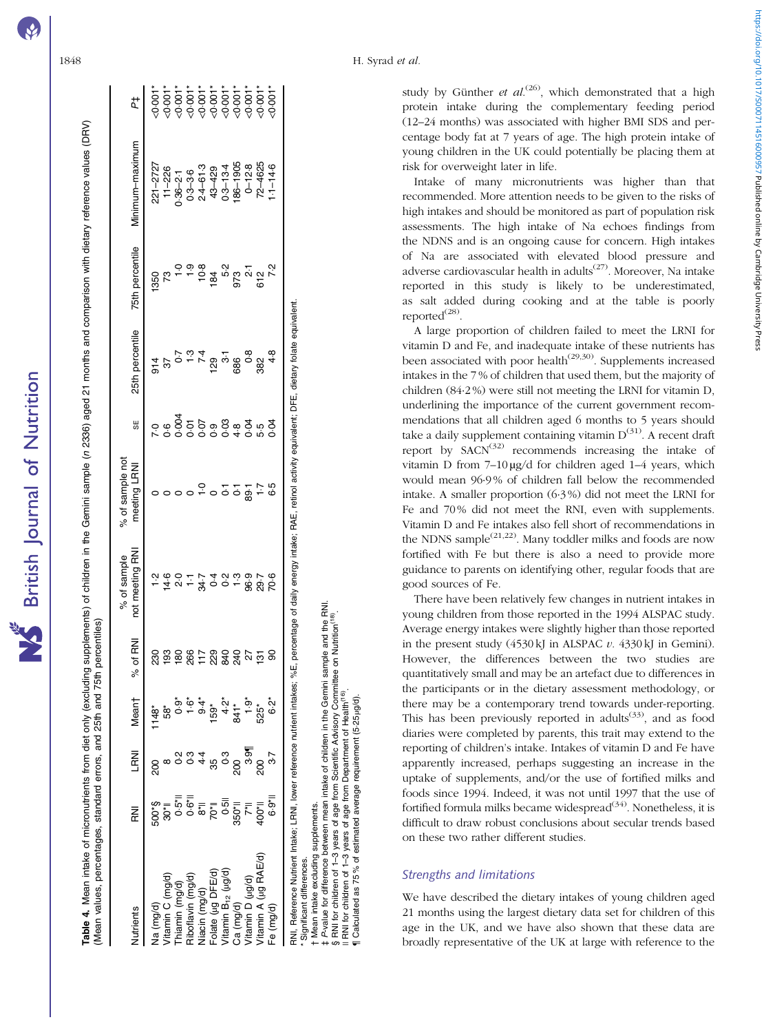| )<br>]<br>]<br>$int$ riting $i$<br> <br> <br>D |  |
|------------------------------------------------|--|
| ć                                              |  |
| Durnal                                         |  |
| <b>Pritish</b>                                 |  |
| Ę                                              |  |

z

 $\mathbf{S}$ 

<span id="page-5-0"></span>

| Table 4. Mean intake of micronutrients from diet only (excluding<br>Mean values, percentages, standard errors, and 25th and 75th p |        |                                  |                                                                                                  | ercentiles) |                                 |                                |    |                               |                                                                                                    | supplements) of children in the Gernini sample (n 2336) aged 21 months and comparison with dietary reference values (DRV) |            |
|------------------------------------------------------------------------------------------------------------------------------------|--------|----------------------------------|--------------------------------------------------------------------------------------------------|-------------|---------------------------------|--------------------------------|----|-------------------------------|----------------------------------------------------------------------------------------------------|---------------------------------------------------------------------------------------------------------------------------|------------|
| lutrients                                                                                                                          | m<br>E | LRNI                             | Mean†                                                                                            | of RN<br>°s | not meeting RN<br>% of sample   | % of sample not<br>meeting LRN | 56 | 25th percentile               | 75th percentile                                                                                    | nimum—maximum                                                                                                             | $\ddot{P}$ |
| Ja (mg/d)                                                                                                                          |        |                                  | $148*$                                                                                           | <u>ន</u>    |                                 |                                |    |                               |                                                                                                    | 221-2727                                                                                                                  |            |
| Tramin C (mg/d                                                                                                                     |        |                                  | $58^*$                                                                                           | 193         |                                 |                                |    | 914<br>37                     | ន្ល<br>73                                                                                          | $11 - 226$                                                                                                                |            |
| hiamin (mg/d)                                                                                                                      |        |                                  |                                                                                                  | 180         | 고 .<br>이 .<br>이 .<br>이 .<br>이 . |                                |    |                               |                                                                                                    | $7.36 - 2.1$                                                                                                              |            |
| Riboflavin (mg/d)                                                                                                                  |        |                                  | တ် ထုံ<br>၁ –                                                                                    | 266         |                                 |                                |    |                               | $\ddot{ }$ .                                                                                       |                                                                                                                           |            |
| Viacin (mg/d)                                                                                                                      |        | $\frac{4}{4}$                    | $9.4*$                                                                                           |             | $34.7$<br>0.4                   |                                |    |                               | 10.8                                                                                               |                                                                                                                           |            |
| Folate (µg DFE/d)                                                                                                                  |        | ೫ <sup>ರ</sup> 8 ಜ<br>ಜಿ ರ 8 ಜನ್ | $^{*}_{159}$ $^{*}_{47}$ $^{*}_{57}$ $^{*}_{57}$ $^{*}_{57}$ $^{*}_{58}$ $^{*}_{57}$ $^{*}_{58}$ | 229         |                                 |                                |    | $129.7$<br>$-69.8$<br>$-89.8$ | $\frac{4}{9}$<br>$\frac{5}{9}$<br>$\frac{2}{9}$<br>$\frac{7}{9}$<br>$\frac{7}{9}$<br>$\frac{2}{9}$ | $0.3 - 3.6$<br>$2.4 - 61.3$<br>$43 - 429$<br>$0.3 - 13.4$                                                                 |            |
| Jitamin B <sub>12</sub> (µg/d)                                                                                                     |        |                                  |                                                                                                  |             | 2.50                            | $\overline{c}$ $\overline{c}$  |    |                               |                                                                                                    |                                                                                                                           |            |
| Ca (mg/d)                                                                                                                          |        |                                  |                                                                                                  |             |                                 |                                |    |                               |                                                                                                    | 86-1905                                                                                                                   |            |
| Vitamin D (µg/d'                                                                                                                   |        |                                  |                                                                                                  | 2825        |                                 |                                |    |                               |                                                                                                    | $0 - 12.8$                                                                                                                |            |
| Vitamin A (ug RAE/d)                                                                                                               |        |                                  |                                                                                                  |             | 9<br>9 2 7<br>9 2 8             | $6.7$<br>$-5.68$               |    |                               |                                                                                                    | $72 - 4625$<br>1.1-14.6                                                                                                   |            |
| Fe (mg/d)                                                                                                                          |        |                                  |                                                                                                  | 90          |                                 |                                |    | $rac{6}{4}$                   |                                                                                                    |                                                                                                                           |            |

+100·0> 9·1+1-1+ 2·1 8·1 8·1 9·1 9·2 9·2 9·2 9·02 06 \*2·9 1·2·3 7·2· 1·15·9·00 9·2·2 1·2·2 1·2·2·2·1  $10.8$ <br> $10.2$ <br> $10.2$ <br> $10.2$ <br> $10.2$ <br> $10.2$ <br> $10.2$ <br> $10.2$  $\begin{matrix} 5 & 2 & 3 & 3 & 3 & 3 & 3 & 3 & 4 & 3 & 3 & 3 & 4 & 5 & 6 & 3 & 3 & 4 & 5 & 6 & 3 & 3 & 4 & 5 & 6 & 3 & 4 & 5 & 6 & 3 & 4 & 5 & 6 & 3 & 3 & 4 & 5 & 6 & 3 & 4 & 5 & 6 & 3 & 4 & 5 & 6 & 3 & 4 & 5 & 6 & 3 & 4 & 5 & 6 & 3 & 4 & 5 & 6 & 3 & 4 & 5 & 6 & 3 & 4 & 5 & 6 & 3 & 4 & 5 & 6 & 3 & 4$  $50040400$  $-0.55$   $-7.56$ とんこの 12<br>ドム 5 9 9 5 6<br>ビスクライ 6  $28888558$ ,<br>525\*<br>62°  $\begin{array}{r} 11.636 \\ 2.6404 \\ -0.0366 \\ -0.0366 \\ -0.0366 \\ -0.0366 \\ -0.036 \\ -0.036 \\ -0.036 \\ -0.036 \\ -0.036 \\ -0.036 \\ -0.036 \\ -0.036 \\ -0.036 \\ -0.036 \\ -0.036 \\ -0.036 \\ -0.036 \\ -0.036 \\ -0.036 \\ -0.036 \\ -0.036 \\ -0.036 \\ -0.036 \\ -0.036 \\ -0.036 \\ -0.036 \\ -0.036 \\ -0.0$ Fe (mg/d)

RNI, Reference Nutrient Intake; LRNI, lower reference nutrient intakes; %E, percentage of daily energy intake; RAE, retinol activity equivalent; DFE, dietary folate equivalent RNI, Reference Nutrient Intake; LRNI, lower reference nutrient intakes; %E, percentage of daily energy intake; RAE, retinol activity equivalent; DFE, dietary folate equivalent. Significant differences. \* Significant differences.

†Mean intake excluding supplements.

‡P-value for difference between mean intake of children in the Gemini sample and the RNI.

§ RNI for children of 1-3 years of age from Scientific Advisory Committee on Nutrition<sup>([18](#page-7-0))</sup>.

II RNI for children of 1–3 years of age from Department of Health<sup>([16](#page-7-0))</sup>.

¶ Calculated as 75 % of estimated average requirement (5·25 µg/d).

study by Günther et  $al^{(26)}$  $al^{(26)}$  $al^{(26)}$ , which demonstrated that a high protein intake during the complementary feeding period (12–24 months) was associated with higher BMI SDS and percentage body fat at 7 years of age. The high protein intake of young children in the UK could potentially be placing them at risk for overweight later in life.

Intake of many micronutrients was higher than that recommended. More attention needs to be given to the risks of high intakes and should be monitored as part of population risk assessments. The high intake of Na echoes findings from the NDNS and is an ongoing cause for concern. High intakes of Na are associated with elevated blood pressure and adverse cardiovascular health in adults<sup>[\(27\)](#page-7-0)</sup>. Moreover, Na intake reported in this study is likely to be underestimated, as salt added during cooking and at the table is poorly reported $^{(28)}$  $^{(28)}$  $^{(28)}$ .

A large proportion of children failed to meet the LRNI for vitamin D and Fe, and inadequate intake of these nutrients has been associated with poor health<sup> $(29,30)$  $(29,30)$  $(29,30)$ </sup>. Supplements increased intakes in the 7 % of children that used them, but the majority of children (84·2 %) were still not meeting the LRNI for vitamin D, underlining the importance of the current government recommendations that all children aged 6 months to 5 years should take a daily supplement containing vitamin  $D^{(31)}$  $D^{(31)}$  $D^{(31)}$ . A recent draft report by  $SACN^{(32)}$  $SACN^{(32)}$  $SACN^{(32)}$  recommends increasing the intake of vitamin D from 7–10 µg/d for children aged 1–4 years, which would mean 96·9 % of children fall below the recommended intake. A smaller proportion (6·3 %) did not meet the LRNI for Fe and 70 % did not meet the RNI, even with supplements. Vitamin D and Fe intakes also fell short of recommendations in the NDNS sample $^{(21,22)}$  $^{(21,22)}$  $^{(21,22)}$  $^{(21,22)}$  $^{(21,22)}$ . Many toddler milks and foods are now fortified with Fe but there is also a need to provide more guidance to parents on identifying other, regular foods that are good sources of Fe.

There have been relatively few changes in nutrient intakes in young children from those reported in the 1994 ALSPAC study. Average energy intakes were slightly higher than those reported in the present study  $(4530 \text{ kJ}$  in ALSPAC v.  $4330 \text{ kJ}$  in Gemini). However, the differences between the two studies are quantitatively small and may be an artefact due to differences in the participants or in the dietary assessment methodology, or there may be a contemporary trend towards under-reporting. This has been previously reported in adults $(33)$  $(33)$ , and as food diaries were completed by parents, this trait may extend to the reporting of children's intake. Intakes of vitamin D and Fe have apparently increased, perhaps suggesting an increase in the uptake of supplements, and/or the use of fortified milks and foods since 1994. Indeed, it was not until 1997 that the use of fortified formula milks became widespread $(34)$  $(34)$  $(34)$ . Nonetheless, it is difficult to draw robust conclusions about secular trends based on these two rather different studies.

### Strengths and limitations

We have described the dietary intakes of young children aged 21 months using the largest dietary data set for children of this age in the UK, and we have also shown that these data are broadly representative of the UK at large with reference to the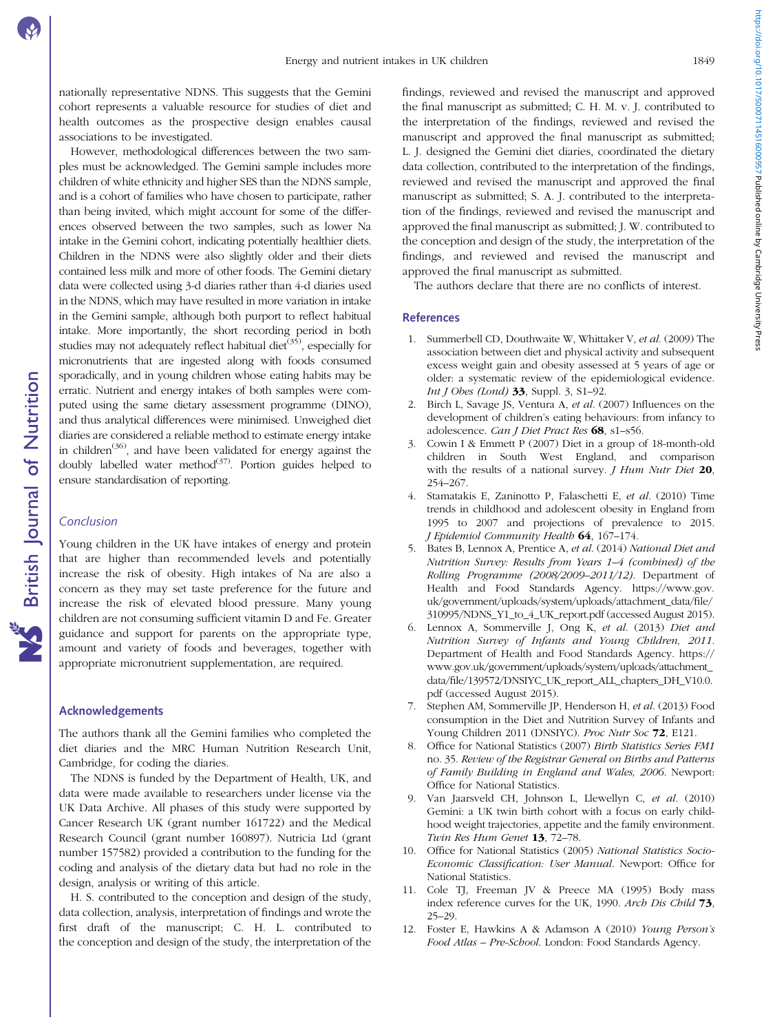<span id="page-6-0"></span>nationally representative NDNS. This suggests that the Gemini cohort represents a valuable resource for studies of diet and health outcomes as the prospective design enables causal associations to be investigated.

However, methodological differences between the two samples must be acknowledged. The Gemini sample includes more children of white ethnicity and higher SES than the NDNS sample, and is a cohort of families who have chosen to participate, rather than being invited, which might account for some of the differences observed between the two samples, such as lower Na intake in the Gemini cohort, indicating potentially healthier diets. Children in the NDNS were also slightly older and their diets contained less milk and more of other foods. The Gemini dietary data were collected using 3-d diaries rather than 4-d diaries used in the NDNS, which may have resulted in more variation in intake in the Gemini sample, although both purport to reflect habitual intake. More importantly, the short recording period in both studies may not adequately reflect habitual diet<sup> $(35)$  $(35)$  $(35)$ </sup>, especially for micronutrients that are ingested along with foods consumed sporadically, and in young children whose eating habits may be erratic. Nutrient and energy intakes of both samples were computed using the same dietary assessment programme (DINO), and thus analytical differences were minimised. Unweighed diet diaries are considered a reliable method to estimate energy intake in children<sup>[\(36\)](#page-7-0)</sup>, and have been validated for energy against the doubly labelled water method $(37)$ . Portion guides helped to ensure standardisation of reporting.

#### **Conclusion**

Young children in the UK have intakes of energy and protein that are higher than recommended levels and potentially increase the risk of obesity. High intakes of Na are also a concern as they may set taste preference for the future and increase the risk of elevated blood pressure. Many young children are not consuming sufficient vitamin D and Fe. Greater guidance and support for parents on the appropriate type, amount and variety of foods and beverages, together with appropriate micronutrient supplementation, are required.

#### Acknowledgements

The authors thank all the Gemini families who completed the diet diaries and the MRC Human Nutrition Research Unit, Cambridge, for coding the diaries.

The NDNS is funded by the Department of Health, UK, and data were made available to researchers under license via the UK Data Archive. All phases of this study were supported by Cancer Research UK (grant number 161722) and the Medical Research Council (grant number 160897). Nutricia Ltd (grant number 157582) provided a contribution to the funding for the coding and analysis of the dietary data but had no role in the design, analysis or writing of this article.

H. S. contributed to the conception and design of the study, data collection, analysis, interpretation of findings and wrote the first draft of the manuscript; C. H. L. contributed to the conception and design of the study, the interpretation of the

findings, reviewed and revised the manuscript and approved the final manuscript as submitted; C. H. M. v. J. contributed to the interpretation of the findings, reviewed and revised the manuscript and approved the final manuscript as submitted; L. J. designed the Gemini diet diaries, coordinated the dietary data collection, contributed to the interpretation of the findings, reviewed and revised the manuscript and approved the final manuscript as submitted; S. A. J. contributed to the interpretation of the findings, reviewed and revised the manuscript and approved the final manuscript as submitted; J. W. contributed to the conception and design of the study, the interpretation of the findings, and reviewed and revised the manuscript and approved the final manuscript as submitted.

The authors declare that there are no conflicts of interest.

#### References

- 1. Summerbell CD, Douthwaite W, Whittaker V, et al. (2009) The association between diet and physical activity and subsequent excess weight gain and obesity assessed at 5 years of age or older: a systematic review of the epidemiological evidence. Int J Obes (Lond)  $33$ , Suppl. 3, S1-92.
- 2. Birch L, Savage JS, Ventura A, et al. (2007) Influences on the development of children's eating behaviours: from infancy to adolescence. Can J Diet Pract Res 68, s1–s56.
- 3. Cowin I & Emmett P (2007) Diet in a group of 18-month-old children in South West England, and comparison with the results of a national survey. *J Hum Nutr Diet* 20, 254–267.
- 4. Stamatakis E, Zaninotto P, Falaschetti E, et al. (2010) Time trends in childhood and adolescent obesity in England from 1995 to 2007 and projections of prevalence to 2015. J Epidemiol Community Health 64, 167-174.
- 5. Bates B, Lennox A, Prentice A, et al. (2014) National Diet and Nutrition Survey: Results from Years 1–4 (combined) of the Rolling Programme (2008/2009–2011/12). Department of Health and Food Standards Agency. https://www.gov. uk/government/uploads/system/uploads/attachment\_data/file/ 310995/NDNS\_Y1\_to\_4\_UK\_report.pdf (accessed August 2015).
- 6. Lennox A, Sommerville J, Ong K, et al. (2013) Diet and Nutrition Survey of Infants and Young Children, 2011. Department of Health and Food Standards Agency. [https://](https://www.gov.uk/government/uploads/system/uploads/attachment_data/file/139572/DNSIYC_UK_report_ALL_chapters_DH_V10.0.pdf) [www.gov.uk/government/uploads/system/uploads/attachment\\_](https://www.gov.uk/government/uploads/system/uploads/attachment_data/file/139572/DNSIYC_UK_report_ALL_chapters_DH_V10.0.pdf) data/fi[le/139572/DNSIYC\\_UK\\_report\\_ALL\\_chapters\\_DH\\_V10.0.](https://www.gov.uk/government/uploads/system/uploads/attachment_data/file/139572/DNSIYC_UK_report_ALL_chapters_DH_V10.0.pdf) [pdf](https://www.gov.uk/government/uploads/system/uploads/attachment_data/file/139572/DNSIYC_UK_report_ALL_chapters_DH_V10.0.pdf) (accessed August 2015).
- 7. Stephen AM, Sommerville JP, Henderson H, et al. (2013) Food consumption in the Diet and Nutrition Survey of Infants and Young Children 2011 (DNSIYC). Proc Nutr Soc 72, E121.
- 8. Office for National Statistics (2007) Birth Statistics Series FM1 no. 35. Review of the Registrar General on Births and Patterns of Family Building in England and Wales, 2006. Newport: Office for National Statistics.
- 9. Van Jaarsveld CH, Johnson L, Llewellyn C, et al. (2010) Gemini: a UK twin birth cohort with a focus on early childhood weight trajectories, appetite and the family environment. Twin Res Hum Genet 13, 72–78.
- 10. Office for National Statistics (2005) National Statistics Socio-Economic Classification: User Manual. Newport: Office for National Statistics.
- 11. Cole TJ, Freeman JV & Preece MA (1995) Body mass index reference curves for the UK, 1990. Arch Dis Child 73, 25–29.
- 12. Foster E, Hawkins A & Adamson A (2010) Young Person's Food Atlas – Pre-School. London: Food Standards Agency.

https://doi.org/10.1017/500071145160005771451blished online by Cambridge University Press https://doi.org/10.1017/S0007114516000957 Published online by Cambridge University Press